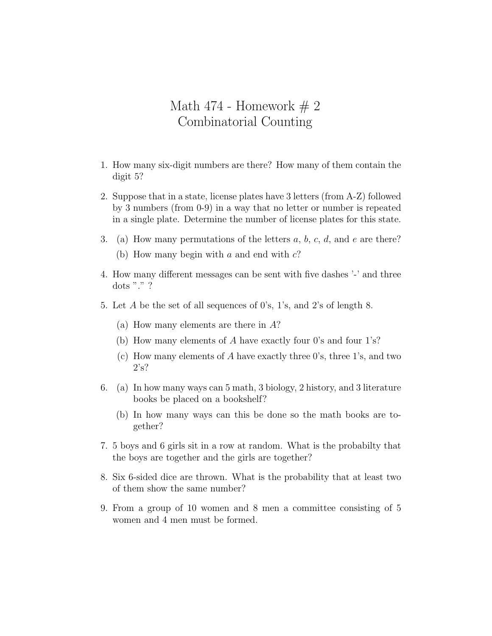## Math 474 - Homework  $# 2$ Combinatorial Counting

- 1. How many six-digit numbers are there? How many of them contain the digit 5?
- 2. Suppose that in a state, license plates have 3 letters (from A-Z) followed by 3 numbers (from 0-9) in a way that no letter or number is repeated in a single plate. Determine the number of license plates for this state.
- 3. (a) How many permutations of the letters *a*, *b*, *c*, *d*, and *e* are there? (b) How many begin with *a* and end with *c*?
- 4. How many different messages can be sent with five dashes '-' and three dots "." ?
- 5. Let *A* be the set of all sequences of 0's, 1's, and 2's of length 8.
	- (a) How many elements are there in *A*?
	- (b) How many elements of *A* have exactly four 0's and four 1's?
	- (c) How many elements of *A* have exactly three 0's, three 1's, and two 2's?
- 6. (a) In how many ways can 5 math, 3 biology, 2 history, and 3 literature books be placed on a bookshelf?
	- (b) In how many ways can this be done so the math books are together?
- 7. 5 boys and 6 girls sit in a row at random. What is the probabilty that the boys are together and the girls are together?
- 8. Six 6-sided dice are thrown. What is the probability that at least two of them show the same number?
- 9. From a group of 10 women and 8 men a committee consisting of 5 women and 4 men must be formed.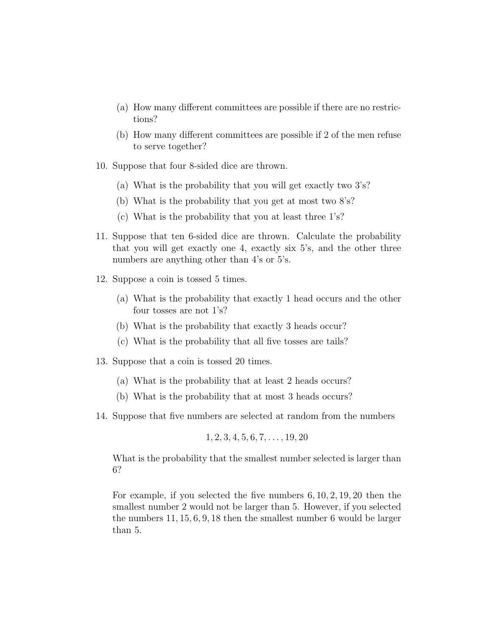- (a) How many different committees are possible if there are no restrictions?
- (b) How many different committees are possible if 2 of the men refuse to serve together?
- 10. Suppose that four 8-sided dice are thrown.
	- (a) What is the probability that you will get exactly two 3's?
	- (b) What is the probability that you get at most two 8's?
	- (c) What is the probability that you at least three 1's?
- 11. Suppose that ten 6-sided dice are thrown. Calculate the probability that you will get exactly one 4, exactly six 5's, and the other three numbers are anything other than 4's or 5's.
- 12. Suppose a coin is tossed 5 times.
	- (a) What is the probability that exactly 1 head occurs and the other four tosses are not 1's?
	- (b) What is the probability that exactly 3 heads occur?
	- (c) What is the probability that all five tosses are tails?
- 13. Suppose that a coin is tossed 20 times.
	- (a) What is the probability that at least 2 heads occurs?
	- (b) What is the probability that at most 3 heads occurs?
- 14. Suppose that five numbers are selected at random from the numbers

$$
1, 2, 3, 4, 5, 6, 7, \ldots, 19, 20
$$

What is the probability that the smallest number selected is larger than 6?

For example, if you selected the five numbers 6*,* 10*,* 2*,* 19*,* 20 then the smallest number 2 would not be larger than 5. However, if you selected the numbers 11*,* 15*,* 6*,* 9*,* 18 then the smallest number 6 would be larger than 5.